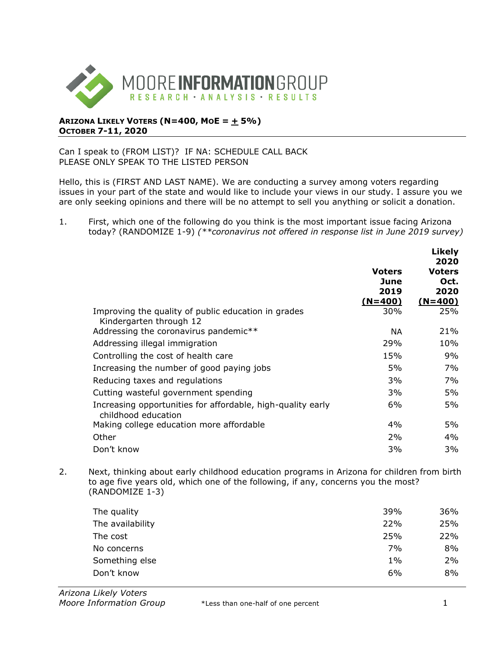

## **ARIZONA LIKELY VOTERS (N=400, MOE = + 5%) OCTOBER 7-11, 2020**

## Can I speak to (FROM LIST)? IF NA: SCHEDULE CALL BACK PLEASE ONLY SPEAK TO THE LISTED PERSON

Hello, this is (FIRST AND LAST NAME). We are conducting a survey among voters regarding issues in your part of the state and would like to include your views in our study. I assure you we are only seeking opinions and there will be no attempt to sell you anything or solicit a donation.

1. First, which one of the following do you think is the most important issue facing Arizona today? (RANDOMIZE 1-9) *(\*\*coronavirus not offered in response list in June 2019 survey)*

|                                                                                    |                        | <b>Likely</b><br>2020         |
|------------------------------------------------------------------------------------|------------------------|-------------------------------|
|                                                                                    | Voters<br>June<br>2019 | <b>Voters</b><br>Oct.<br>2020 |
|                                                                                    | $(N=400)$              | $(N=400)$                     |
| Improving the quality of public education in grades<br>Kindergarten through 12     | 30%                    | 25%                           |
| Addressing the coronavirus pandemic**                                              | <b>NA</b>              | 21%                           |
| Addressing illegal immigration                                                     | 29%                    | 10%                           |
| Controlling the cost of health care                                                | 15%                    | 9%                            |
| Increasing the number of good paying jobs                                          | 5%                     | 7%                            |
| Reducing taxes and regulations                                                     | 3%                     | 7%                            |
| Cutting wasteful government spending                                               | 3%                     | 5%                            |
| Increasing opportunities for affordable, high-quality early<br>childhood education | 6%                     | 5%                            |
| Making college education more affordable                                           | $4\%$                  | 5%                            |
| Other                                                                              | 2%                     | $4\%$                         |
| Don't know                                                                         | 3%                     | 3%                            |

2. Next, thinking about early childhood education programs in Arizona for children from birth to age five years old, which one of the following, if any, concerns you the most? (RANDOMIZE 1-3)

| The quality      | 39%   | 36% |
|------------------|-------|-----|
| The availability | 22%   | 25% |
| The cost         | 25%   | 22% |
| No concerns      | 7%    | 8%  |
| Something else   | $1\%$ | 2%  |
| Don't know       | 6%    | 8%  |
|                  |       |     |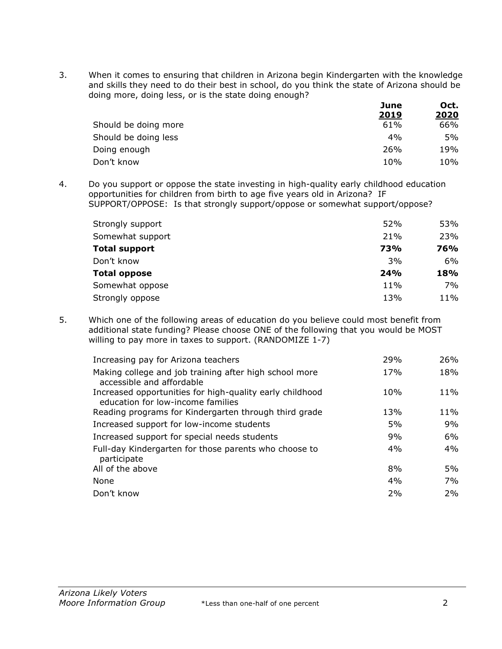3. When it comes to ensuring that children in Arizona begin Kindergarten with the knowledge and skills they need to do their best in school, do you think the state of Arizona should be doing more, doing less, or is the state doing enough? **June Oct.** 

|                      | June        | UCT. |
|----------------------|-------------|------|
|                      | <u>2019</u> | 2020 |
| Should be doing more | 61%         | 66%  |
| Should be doing less | 4%          | 5%   |
| Doing enough         | 26%         | 19%  |
| Don't know           | 10%         | 10%  |

4. Do you support or oppose the state investing in high-quality early childhood education opportunities for children from birth to age five years old in Arizona? IF SUPPORT/OPPOSE: Is that strongly support/oppose or somewhat support/oppose?

| Strongly support     | 52% | 53%        |
|----------------------|-----|------------|
| Somewhat support     | 21% | 23%        |
| <b>Total support</b> | 73% | <b>76%</b> |
| Don't know           | 3%  | 6%         |
| <b>Total oppose</b>  | 24% | 18%        |
| Somewhat oppose      | 11% | 7%         |
| Strongly oppose      | 13% | 11%        |

5. Which one of the following areas of education do you believe could most benefit from additional state funding? Please choose ONE of the following that you would be MOST willing to pay more in taxes to support. (RANDOMIZE 1-7)

| Increasing pay for Arizona teachers                                                           | 29%<br><b>26%</b> |
|-----------------------------------------------------------------------------------------------|-------------------|
| Making college and job training after high school more<br>accessible and affordable           | 18%<br>17%        |
| Increased opportunities for high-quality early childhood<br>education for low-income families | 11%<br>10%        |
| Reading programs for Kindergarten through third grade                                         | 11%<br>13%        |
| Increased support for low-income students                                                     | 9%<br>5%          |
| Increased support for special needs students                                                  | 6%<br>9%          |
| Full-day Kindergarten for those parents who choose to<br>participate                          | 4%<br>4%          |
| All of the above                                                                              | 5%<br>8%          |
| None                                                                                          | 7%<br>4%          |
| Don't know                                                                                    | 2%<br>2%          |